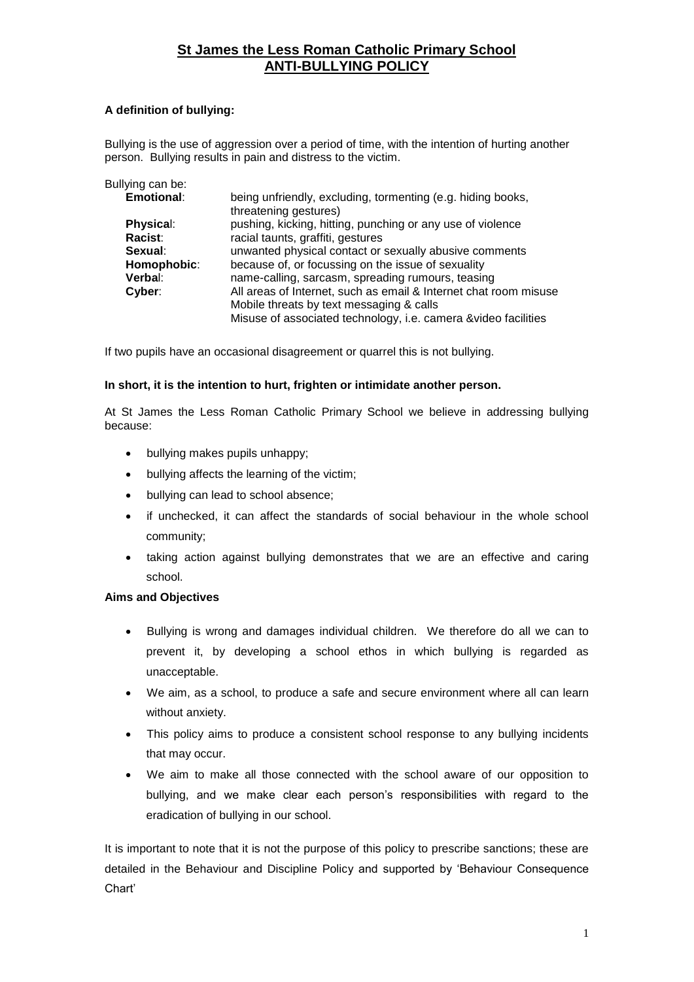### **A definition of bullying:**

Bullying is the use of aggression over a period of time, with the intention of hurting another person. Bullying results in pain and distress to the victim.

| being unfriendly, excluding, tormenting (e.g. hiding books,<br>threatening gestures) |
|--------------------------------------------------------------------------------------|
| pushing, kicking, hitting, punching or any use of violence                           |
| racial taunts, graffiti, gestures                                                    |
| unwanted physical contact or sexually abusive comments                               |
| because of, or focussing on the issue of sexuality                                   |
| name-calling, sarcasm, spreading rumours, teasing                                    |
| All areas of Internet, such as email & Internet chat room misuse                     |
| Mobile threats by text messaging & calls                                             |
| Misuse of associated technology, i.e. camera & video facilities                      |
|                                                                                      |

If two pupils have an occasional disagreement or quarrel this is not bullying.

#### **In short, it is the intention to hurt, frighten or intimidate another person.**

At St James the Less Roman Catholic Primary School we believe in addressing bullying because:

- bullying makes pupils unhappy;
- bullying affects the learning of the victim;
- bullying can lead to school absence;
- if unchecked, it can affect the standards of social behaviour in the whole school community;
- taking action against bullying demonstrates that we are an effective and caring school.

#### **Aims and Objectives**

- Bullying is wrong and damages individual children. We therefore do all we can to prevent it, by developing a school ethos in which bullying is regarded as unacceptable.
- We aim, as a school, to produce a safe and secure environment where all can learn without anxiety.
- This policy aims to produce a consistent school response to any bullying incidents that may occur.
- We aim to make all those connected with the school aware of our opposition to bullying, and we make clear each person's responsibilities with regard to the eradication of bullying in our school.

It is important to note that it is not the purpose of this policy to prescribe sanctions; these are detailed in the Behaviour and Discipline Policy and supported by 'Behaviour Consequence Chart'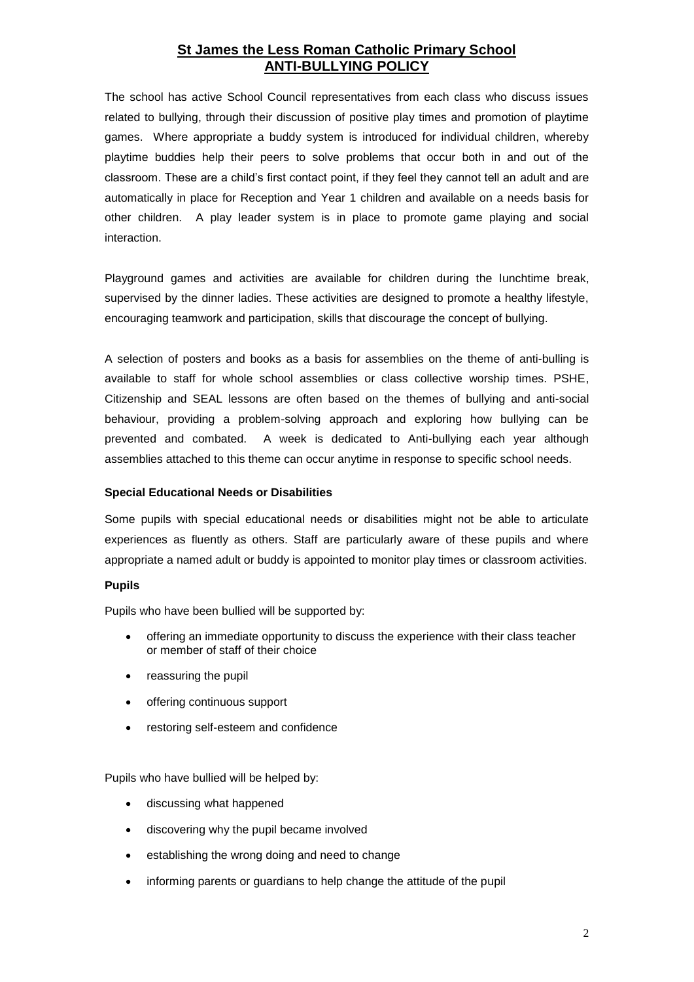The school has active School Council representatives from each class who discuss issues related to bullying, through their discussion of positive play times and promotion of playtime games. Where appropriate a buddy system is introduced for individual children, whereby playtime buddies help their peers to solve problems that occur both in and out of the classroom. These are a child's first contact point, if they feel they cannot tell an adult and are automatically in place for Reception and Year 1 children and available on a needs basis for other children. A play leader system is in place to promote game playing and social interaction.

Playground games and activities are available for children during the lunchtime break, supervised by the dinner ladies. These activities are designed to promote a healthy lifestyle, encouraging teamwork and participation, skills that discourage the concept of bullying.

A selection of posters and books as a basis for assemblies on the theme of anti-bulling is available to staff for whole school assemblies or class collective worship times. PSHE, Citizenship and SEAL lessons are often based on the themes of bullying and anti-social behaviour, providing a problem-solving approach and exploring how bullying can be prevented and combated. A week is dedicated to Anti-bullying each year although assemblies attached to this theme can occur anytime in response to specific school needs.

#### **Special Educational Needs or Disabilities**

Some pupils with special educational needs or disabilities might not be able to articulate experiences as fluently as others. Staff are particularly aware of these pupils and where appropriate a named adult or buddy is appointed to monitor play times or classroom activities.

#### **Pupils**

Pupils who have been bullied will be supported by:

- offering an immediate opportunity to discuss the experience with their class teacher or member of staff of their choice
- reassuring the pupil
- offering continuous support
- restoring self-esteem and confidence

Pupils who have bullied will be helped by:

- discussing what happened
- discovering why the pupil became involved
- establishing the wrong doing and need to change
- informing parents or guardians to help change the attitude of the pupil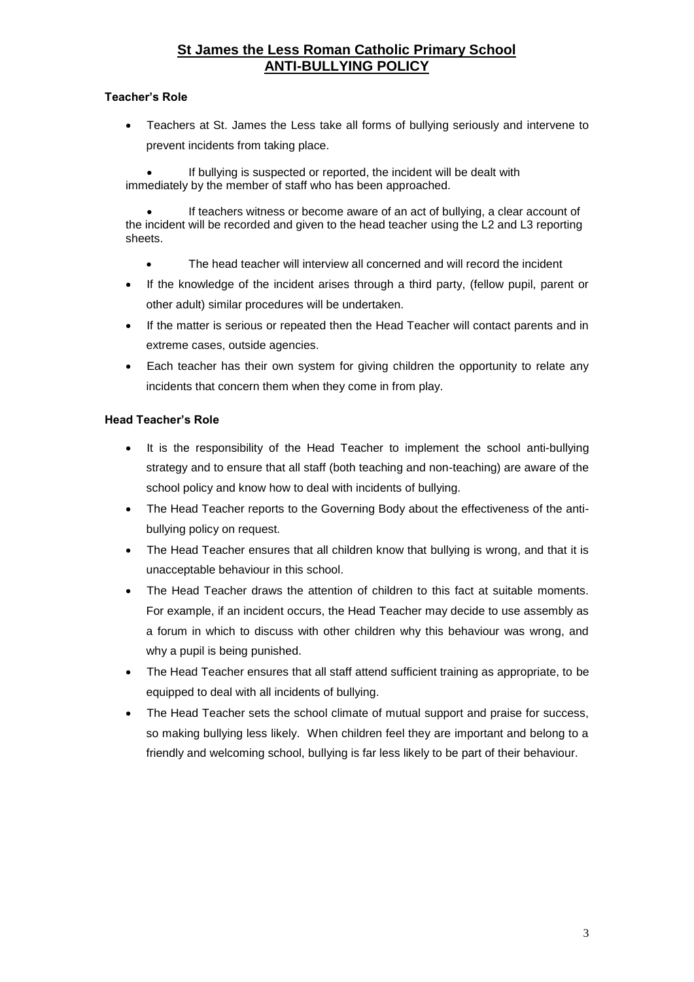### **Teacher's Role**

 Teachers at St. James the Less take all forms of bullying seriously and intervene to prevent incidents from taking place.

 If bullying is suspected or reported, the incident will be dealt with immediately by the member of staff who has been approached.

 If teachers witness or become aware of an act of bullying, a clear account of the incident will be recorded and given to the head teacher using the L2 and L3 reporting sheets.

- The head teacher will interview all concerned and will record the incident
- If the knowledge of the incident arises through a third party, (fellow pupil, parent or other adult) similar procedures will be undertaken.
- If the matter is serious or repeated then the Head Teacher will contact parents and in extreme cases, outside agencies.
- Each teacher has their own system for giving children the opportunity to relate any incidents that concern them when they come in from play.

### **Head Teacher's Role**

- It is the responsibility of the Head Teacher to implement the school anti-bullying strategy and to ensure that all staff (both teaching and non-teaching) are aware of the school policy and know how to deal with incidents of bullying.
- The Head Teacher reports to the Governing Body about the effectiveness of the antibullying policy on request.
- The Head Teacher ensures that all children know that bullying is wrong, and that it is unacceptable behaviour in this school.
- The Head Teacher draws the attention of children to this fact at suitable moments. For example, if an incident occurs, the Head Teacher may decide to use assembly as a forum in which to discuss with other children why this behaviour was wrong, and why a pupil is being punished.
- The Head Teacher ensures that all staff attend sufficient training as appropriate, to be equipped to deal with all incidents of bullying.
- The Head Teacher sets the school climate of mutual support and praise for success, so making bullying less likely. When children feel they are important and belong to a friendly and welcoming school, bullying is far less likely to be part of their behaviour.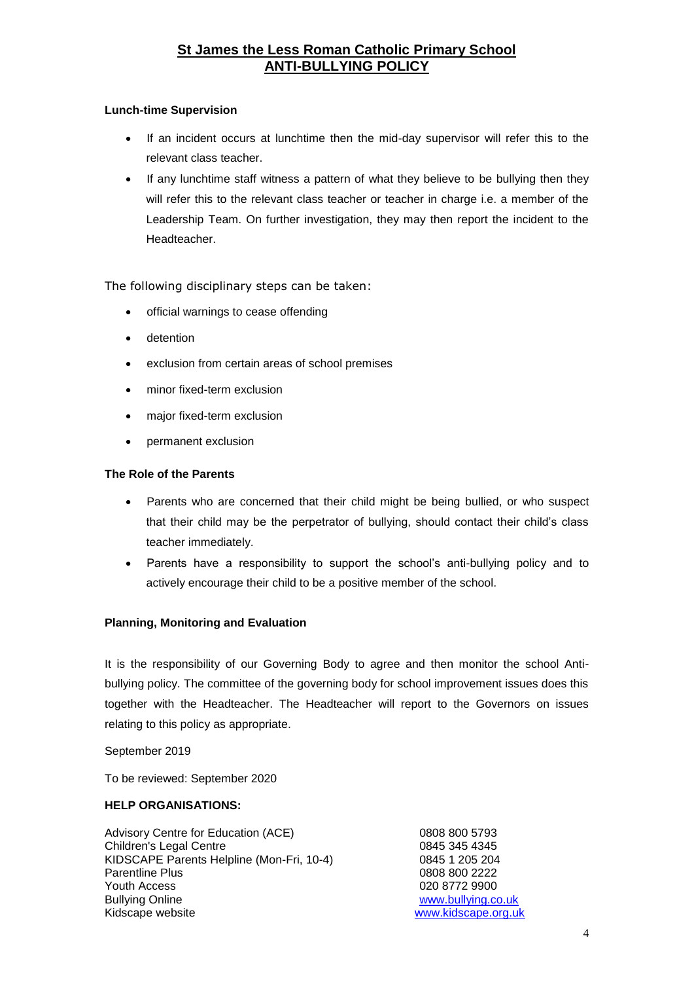### **Lunch-time Supervision**

- If an incident occurs at lunchtime then the mid-day supervisor will refer this to the relevant class teacher.
- If any lunchtime staff witness a pattern of what they believe to be bullying then they will refer this to the relevant class teacher or teacher in charge i.e. a member of the Leadership Team. On further investigation, they may then report the incident to the Headteacher.

The following disciplinary steps can be taken:

- official warnings to cease offending
- detention
- exclusion from certain areas of school premises
- minor fixed-term exclusion
- major fixed-term exclusion
- permanent exclusion

#### **The Role of the Parents**

- Parents who are concerned that their child might be being bullied, or who suspect that their child may be the perpetrator of bullying, should contact their child's class teacher immediately.
- Parents have a responsibility to support the school's anti-bullying policy and to actively encourage their child to be a positive member of the school.

### **Planning, Monitoring and Evaluation**

It is the responsibility of our Governing Body to agree and then monitor the school Antibullying policy. The committee of the governing body for school improvement issues does this together with the Headteacher. The Headteacher will report to the Governors on issues relating to this policy as appropriate.

September 2019

To be reviewed: September 2020

#### **HELP ORGANISATIONS:**

| Advisory Centre for Education (ACE)       | 0808 800 5793       |
|-------------------------------------------|---------------------|
| <b>Children's Legal Centre</b>            | 0845 345 4345       |
| KIDSCAPE Parents Helpline (Mon-Fri, 10-4) | 0845 1 205 204      |
| <b>Parentline Plus</b>                    | 0808 800 2222       |
| Youth Access                              | 020 8772 9900       |
| <b>Bullying Online</b>                    | www.bullying.co.uk  |
| Kidscape website                          | www.kidscape.org.uk |